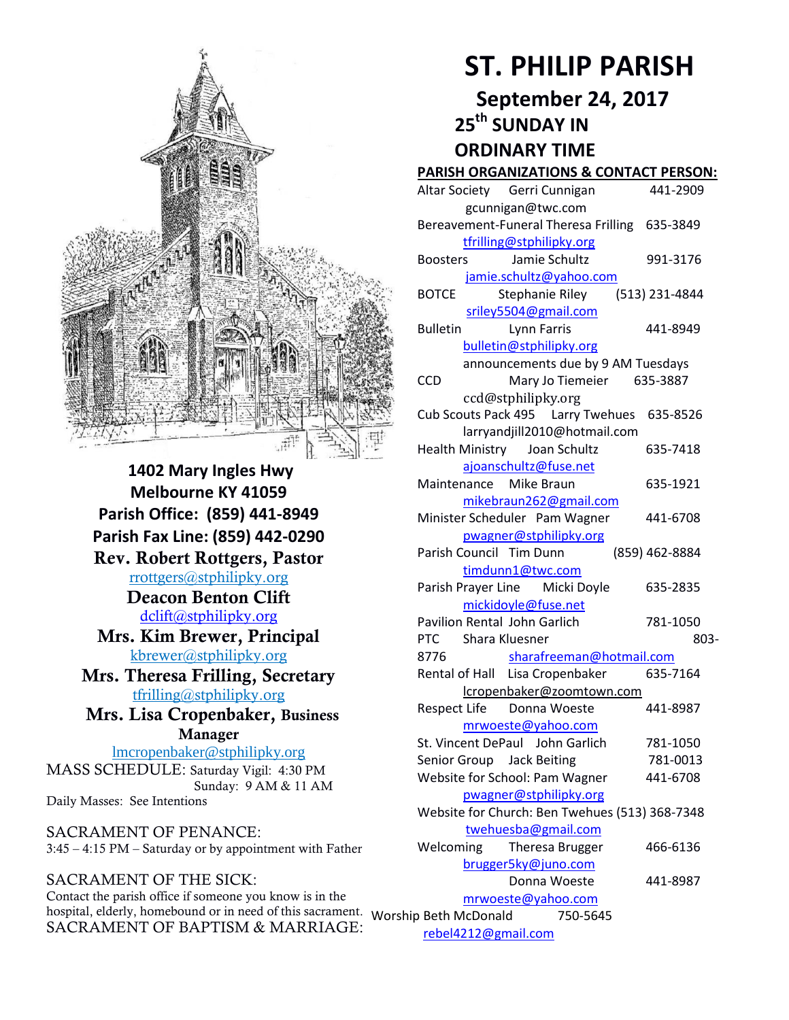

**1402 Mary Ingles Hwy Melbourne KY 41059 Parish Office: (859) 441-8949 Parish Fax Line: (859) 442-0290 Rev. Robert Rottgers, Pastor**  [rrottgers@stphilipky.org](mailto:rrottgers@stphilipky.org) **Deacon Benton Clift**  [dclift@stphilipky.org](mailto:dclift@stphilipky.org) **Mrs. Kim Brewer, Principal**  [kbrewer@stphilipky.org](mailto:kbrewer@stphilipky.org) **Mrs. Theresa Frilling, Secretary**  [tfrilling@stphilipky.org](mailto:tfrilling@stphilipky.org) **Mrs. Lisa Cropenbaker, Business Manager**  lmcropenbaker@stphilipky.org MASS SCHEDULE: Saturday Vigil: 4:30 PM Sunday: 9 AM & 11 AM Daily Masses: See Intentions

SACRAMENT OF PENANCE: 3:45 – 4:15 PM – Saturday or by appointment with Father

SACRAMENT OF THE SICK: Contact the parish office if someone you know is in the hospital, elderly, homebound or in need of this sacrament. Worship Beth McDonald 750-5645 SACRAMENT OF BAPTISM & MARRIAGE:

# **ST. PHILIP PARISH**

**September 24, 2017** 

 **25th SUNDAY IN** 

 **ORDINARY TIME** 

### **PARISH ORGANIZATIONS & CONTACT PERSON:**

| Altar Society Gerri Cunnigan                     | 441-2909       |
|--------------------------------------------------|----------------|
| gcunnigan@twc.com                                |                |
| Bereavement-Funeral Theresa Frilling 635-3849    |                |
| tfrilling@stphilipky.org                         |                |
| Jamie Schultz<br><b>Boosters</b>                 | 991-3176       |
| jamie.schultz@yahoo.com                          |                |
| <b>BOTCE</b><br>Stephanie Riley                  | (513) 231-4844 |
| sriley5504@gmail.com                             |                |
| <b>Bulletin</b><br>Lynn Farris                   | 441-8949       |
| bulletin@stphilipky.org                          |                |
| announcements due by 9 AM Tuesdays               |                |
| <b>CCD</b><br>Mary Jo Tiemeier 635-3887          |                |
| ccd@stphilipky.org                               |                |
| Cub Scouts Pack 495    Larry Twehues    635-8526 |                |
| larryandjill2010@hotmail.com                     |                |
| Health Ministry Joan Schultz                     | 635-7418       |
| ajoanschultz@fuse.net                            |                |
| Maintenance Mike Braun                           | 635-1921       |
| mikebraun262@gmail.com                           |                |
| Minister Scheduler Pam Wagner                    | 441-6708       |
| pwagner@stphilipky.org                           |                |
| Parish Council Tim Dunn                          | (859) 462-8884 |
| timdunn1@twc.com                                 |                |
| Parish Prayer Line Micki Doyle                   | 635-2835       |
| mickidoyle@fuse.net                              |                |
| Pavilion Rental John Garlich                     | 781-1050       |
| PTC<br>Shara Kluesner                            | 803-           |
| 8776<br>sharafreeman@hotmail.com                 |                |
| Rental of Hall Lisa Cropenbaker                  | 635-7164       |
| lcropenbaker@zoomtown.com                        |                |
| Respect Life Donna Woeste                        | 441-8987       |
| mrwoeste@yahoo.com                               |                |
| St. Vincent DePaul John Garlich                  | 781-1050       |
| Senior Group Jack Beiting                        | 781-0013       |
| Website for School: Pam Wagner                   | 441-6708       |
| pwagner@stphilipky.org                           |                |
| Website for Church: Ben Twehues (513) 368-7348   |                |
| twehuesba@gmail.com                              |                |
| Welcoming<br>Theresa Brugger                     | 466-6136       |
| brugger5ky@juno.com                              |                |
| Donna Woeste                                     | 441-8987       |
| mrwoeste@yahoo.com                               |                |
| o Beth McDonald<br>750-5645                      |                |

[rebel4212@gmail.com](mailto:trebel4212@gmail.com)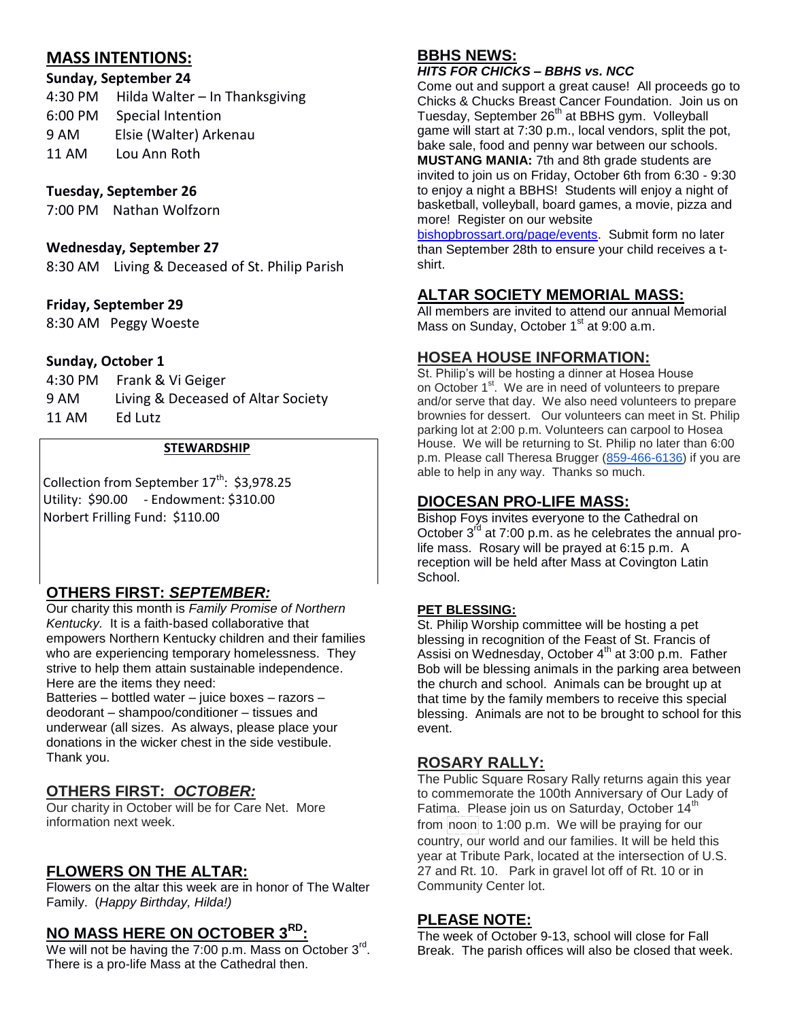# **MASS INTENTIONS:**

# **Sunday, September 24**

4:30 PM Hilda Walter – In Thanksgiving 6:00 PM Special Intention 9 AM Elsie (Walter) Arkenau 11 AM Lou Ann Roth

## **Tuesday, September 26**

7:00 PM Nathan Wolfzorn

#### **Wednesday, September 27**

8:30 AM Living & Deceased of St. Philip Parish

### **Friday, September 29**

8:30 AM Peggy Woeste

#### **Sunday, October 1**

| 4:30 PM | Frank & Vi Geiger                  |
|---------|------------------------------------|
| 9 AM    | Living & Deceased of Altar Society |
| 11 AM   | Ed Lutz                            |

#### **STEWARDSHIP**

Collection from September  $17^{th}$ : \$3,978.25 Utility: \$90.00 - Endowment: \$310.00 Norbert Frilling Fund: \$110.00

# **OTHERS FIRST:** *SEPTEMBER:*

Our charity this month is *Family Promise of Northern*  Kentucky. It is a faith-based collaborative that empowers Northern Kentucky children and their families who are experiencing temporary homelessness. They strive to help them attain sustainable independence. Here are the items they need:

Batteries – bottled water – juice boxes – razors – deodorant – shampoo/conditioner – tissues and underwear (all sizes. As always, please place your donations in the wicker chest in the side vestibule. Thank you.

# **OTHERS FIRST:** *OCTOBER:*

Our charity in October will be for Care Net. More information next week.

# **FLOWERS ON THE ALTAR:**

Flowers on the altar this week are in honor of The Walter Family. (*Happy Birthday, Hilda!)*

## **NO MASS HERE ON OCTOBER 3RD:**

We will not be having the 7:00 p.m. Mass on October  $3^{\text{rd}}$ . There is a pro-life Mass at the Cathedral then.

# **BBHS NEWS:**

#### *HITS FOR CHICKS – BBHS vs. NCC*

Come out and support a great cause! All proceeds go to Chicks & Chucks Breast Cancer Foundation. Join us on Tuesday, September 26th at BBHS gym. Volleyball game will start at 7:30 p.m., local vendors, split the pot, bake sale, food and penny war between our schools. **MUSTANG MANIA:** 7th and 8th grade students are invited to join us on Friday, October 6th from 6:30 - 9:30 to enjoy a night a BBHS! Students will enjoy a night of basketball, volleyball, board games, a movie, pizza and more! Register on our website

[bishopbrossart.org/page/events.](http://www.bishopbrossart.org/page/events) Submit form no later than September 28th to ensure your child receives a tshirt.

## **ALTAR SOCIETY MEMORIAL MASS:**

All members are invited to attend our annual Memorial Mass on Sunday, October  $1<sup>st</sup>$  at 9:00 a.m.

### **HOSEA HOUSE INFORMATION:**

St. Philip's will be hosting a dinner at Hosea House on October 1<sup>st</sup>. We are in need of volunteers to prepare and/or serve that day. We also need volunteers to prepare brownies for dessert. Our volunteers can meet in St. Philip parking lot at 2:00 p.m. Volunteers can carpool to Hosea House. We will be returning to St. Philip no later than 6:00 p.m. Please call Theresa Brugger [\(859-466-6136\)](tel:(859)%20466-6136) if you are able to help in any way. Thanks so much.

# **DIOCESAN PRO-LIFE MASS:**

Bishop Foys invites everyone to the Cathedral on October  $3^{rd}$  at 7:00 p.m. as he celebrates the annual prolife mass. Rosary will be prayed at 6:15 p.m. A reception will be held after Mass at Covington Latin School.

#### **PET BLESSING:**

St. Philip Worship committee will be hosting a pet blessing in recognition of the Feast of St. Francis of Assisi on Wednesday, October  $4<sup>th</sup>$  at 3:00 p.m. Father Bob will be blessing animals in the parking area between the church and school. Animals can be brought up at that time by the family members to receive this special blessing. Animals are not to be brought to school for this event.

### **ROSARY RALLY:**

The Public Square Rosary Rally returns again this year to commemorate the 100th Anniversary of Our Lady of Fatima. Please join us on Saturday, October 14<sup>th</sup> from noon to 1:00 p.m. We will be praying for our country, our world and our families. It will be held this year at Tribute Park, located at the intersection of U.S. 27 and Rt. 10. Park in gravel lot off of Rt. 10 or in Community Center lot.

### **PLEASE NOTE:**

The week of October 9-13, school will close for Fall Break. The parish offices will also be closed that week.